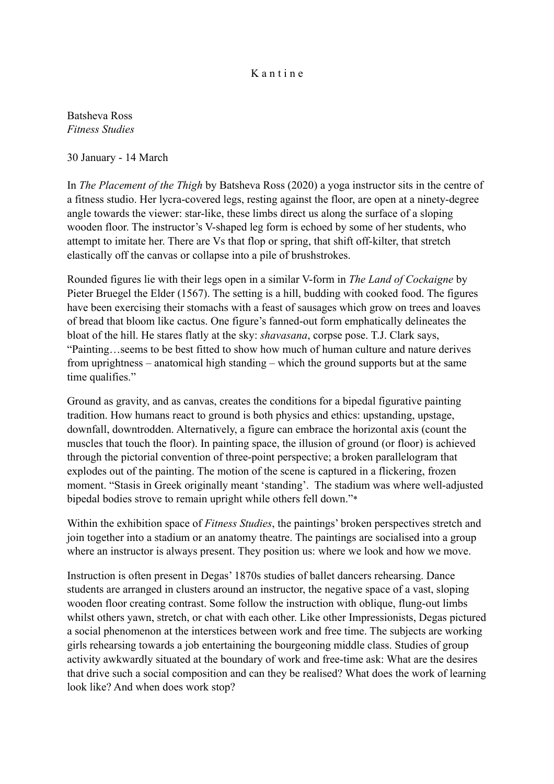## K a n t i n e

Batsheva Ross *Fitness Studies*

30 January - 14 March

In *The Placement of the Thigh* by Batsheva Ross (2020) a yoga instructor sits in the centre of a fitness studio. Her lycra-covered legs, resting against the floor, are open at a ninety-degree angle towards the viewer: star-like, these limbs direct us along the surface of a sloping wooden floor. The instructor's V-shaped leg form is echoed by some of her students, who attempt to imitate her. There are Vs that flop or spring, that shift off-kilter, that stretch elastically off the canvas or collapse into a pile of brushstrokes.

Rounded figures lie with their legs open in a similar V-form in *The Land of Cockaigne* by Pieter Bruegel the Elder (1567). The setting is a hill, budding with cooked food. The figures have been exercising their stomachs with a feast of sausages which grow on trees and loaves of bread that bloom like cactus. One figure's fanned-out form emphatically delineates the bloat of the hill. He stares flatly at the sky: *shavasana*, corpse pose. T.J. Clark says, "Painting…seems to be best fitted to show how much of human culture and nature derives from uprightness – anatomical high standing – which the ground supports but at the same time qualifies."

Ground as gravity, and as canvas, creates the conditions for a bipedal figurative painting tradition. How humans react to ground is both physics and ethics: upstanding, upstage, downfall, downtrodden. Alternatively, a figure can embrace the horizontal axis (count the muscles that touch the floor). In painting space, the illusion of ground (or floor) is achieved through the pictorial convention of three-point perspective; a broken parallelogram that explodes out of the painting. The motion of the scene is captured in a flickering, frozen moment. "Stasis in Greek originally meant 'standing'. The stadium was where well-adjusted bipedal bodies strove to remain upright while others fell down."\*

Within the exhibition space of *Fitness Studies*, the paintings' broken perspectives stretch and join together into a stadium or an anatomy theatre. The paintings are socialised into a group where an instructor is always present. They position us: where we look and how we move.

Instruction is often present in Degas' 1870s studies of ballet dancers rehearsing. Dance students are arranged in clusters around an instructor, the negative space of a vast, sloping wooden floor creating contrast. Some follow the instruction with oblique, flung-out limbs whilst others yawn, stretch, or chat with each other. Like other Impressionists, Degas pictured a social phenomenon at the interstices between work and free time. The subjects are working girls rehearsing towards a job entertaining the bourgeoning middle class. Studies of group activity awkwardly situated at the boundary of work and free-time ask: What are the desires that drive such a social composition and can they be realised? What does the work of learning look like? And when does work stop?